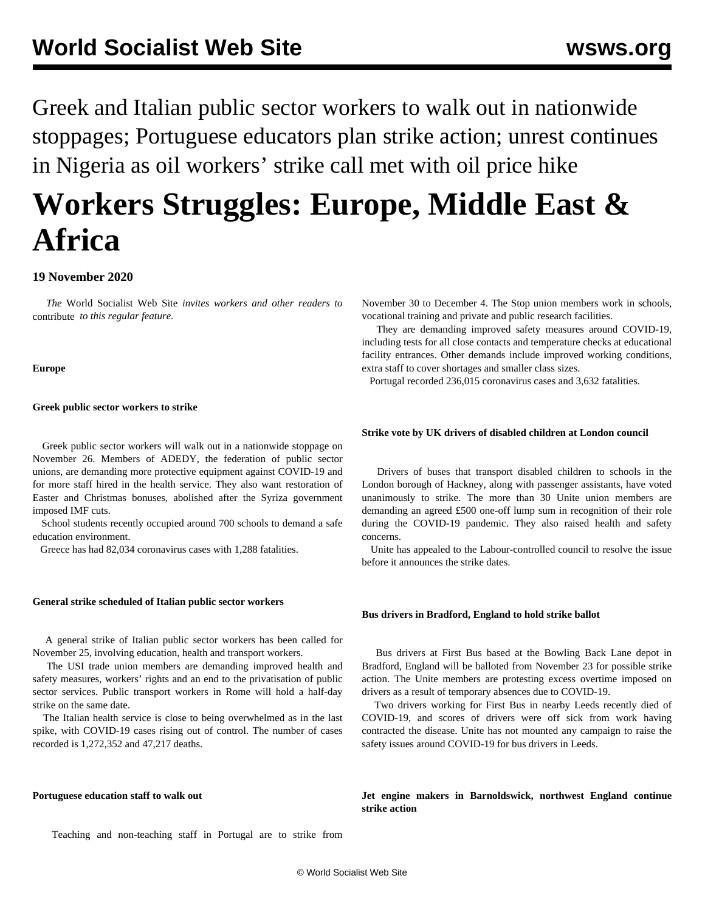Greek and Italian public sector workers to walk out in nationwide stoppages; Portuguese educators plan strike action; unrest continues in Nigeria as oil workers' strike call met with oil price hike

# **Workers Struggles: Europe, Middle East & Africa**

## **19 November 2020**

 *The* World Socialist Web Site *invites workers and other readers to* [contribute](/wsws/dd-formmailer/dd-formmailer.php) *to this regular feature.*

## **Europe**

## **Greek public sector workers to strike**

 Greek public sector workers will walk out in a nationwide stoppage on November 26. Members of ADEDY, the federation of public sector unions, are demanding more protective equipment against COVID-19 and for more staff hired in the health service. They also want restoration of Easter and Christmas bonuses, abolished after the Syriza government imposed IMF cuts.

School students recently occupied around 700 schools to demand a safe education environment.

Greece has had 82,034 coronavirus cases with 1,288 fatalities.

## **General strike scheduled of Italian public sector workers**

 A general strike of Italian public sector workers has been called for November 25, involving education, health and transport workers.

 The USI trade union members are demanding improved health and safety measures, workers' rights and an end to the privatisation of public sector services. Public transport workers in Rome will hold a half-day strike on the same date.

 The Italian health service is close to being overwhelmed as in the last spike, with COVID-19 cases rising out of control. The number of cases recorded is 1,272,352 and 47,217 deaths.

## **Portuguese education staff to walk out**

Teaching and non-teaching staff in Portugal are to strike from

November 30 to December 4. The Stop union members work in schools, vocational training and private and public research facilities.

 They are demanding improved safety measures around COVID-19, including tests for all close contacts and temperature checks at educational facility entrances. Other demands include improved working conditions, extra staff to cover shortages and smaller class sizes.

Portugal recorded 236,015 coronavirus cases and 3,632 fatalities.

## **Strike vote by UK drivers of disabled children at London council**

 Drivers of buses that transport disabled children to schools in the London borough of Hackney, along with passenger assistants, have voted unanimously to strike. The more than 30 Unite union members are demanding an agreed £500 one-off lump sum in recognition of their role during the COVID-19 pandemic. They also raised health and safety concerns.

 Unite has appealed to the Labour-controlled council to resolve the issue before it announces the strike dates.

## **Bus drivers in Bradford, England to hold strike ballot**

 Bus drivers at First Bus based at the Bowling Back Lane depot in Bradford, England will be balloted from November 23 for possible strike action. The Unite members are protesting excess overtime imposed on drivers as a result of temporary absences due to COVID-19.

 Two drivers working for First Bus in nearby Leeds recently died of COVID-19, and scores of drivers were off sick from work having contracted the disease. Unite has not mounted any campaign to raise the safety issues around COVID-19 for bus drivers in Leeds.

**Jet engine makers in Barnoldswick, northwest England continue strike action**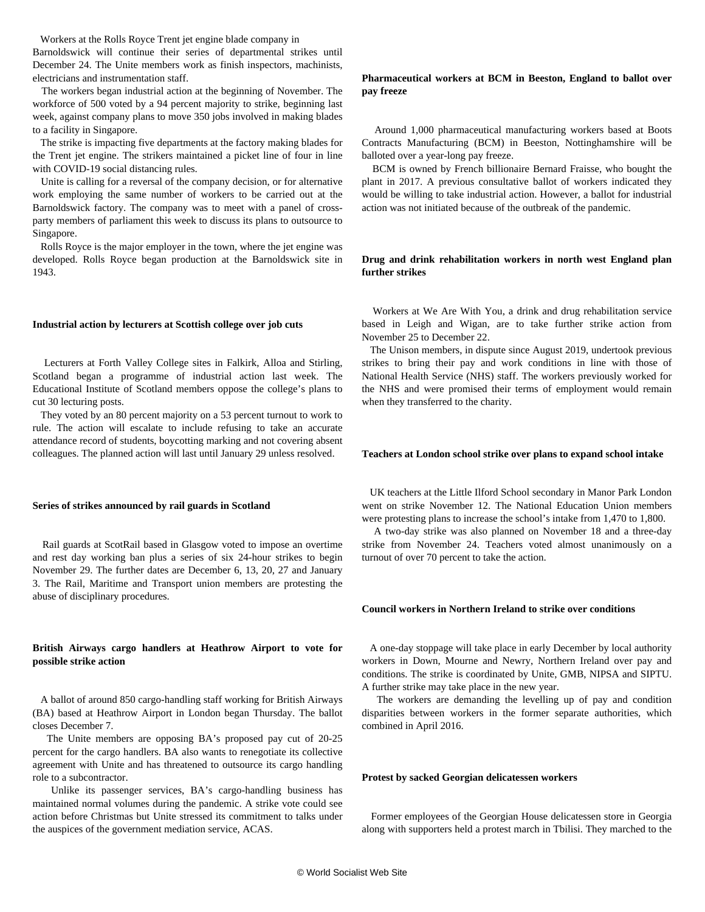Workers at the Rolls Royce Trent jet engine blade company in

Barnoldswick will continue their series of departmental strikes until December 24. The Unite members work as finish inspectors, machinists, electricians and instrumentation staff.

 The workers began industrial action at the beginning of November. The workforce of 500 voted by a 94 percent majority to strike, beginning last week, against company plans to move 350 jobs involved in making blades to a facility in Singapore.

 The strike is impacting five departments at the factory making blades for the Trent jet engine. The strikers maintained a picket line of four in line with COVID-19 social distancing rules.

 Unite is calling for a reversal of the company decision, or for alternative work employing the same number of workers to be carried out at the Barnoldswick factory. The company was to meet with a panel of crossparty members of parliament this week to discuss its plans to outsource to Singapore.

 Rolls Royce is the major employer in the town, where the jet engine was developed. Rolls Royce began production at the Barnoldswick site in 1943.

#### **Industrial action by lecturers at Scottish college over job cuts**

 Lecturers at Forth Valley College sites in Falkirk, Alloa and Stirling, Scotland began a programme of industrial action last week. The Educational Institute of Scotland members oppose the college's plans to cut 30 lecturing posts.

 They voted by an 80 percent majority on a 53 percent turnout to work to rule. The action will escalate to include refusing to take an accurate attendance record of students, boycotting marking and not covering absent colleagues. The planned action will last until January 29 unless resolved.

#### **Series of strikes announced by rail guards in Scotland**

 Rail guards at ScotRail based in Glasgow voted to impose an overtime and rest day working ban plus a series of six 24-hour strikes to begin November 29. The further dates are December 6, 13, 20, 27 and January 3. The Rail, Maritime and Transport union members are protesting the abuse of disciplinary procedures.

## **British Airways cargo handlers at Heathrow Airport to vote for possible strike action**

 A ballot of around 850 cargo-handling staff working for British Airways (BA) based at Heathrow Airport in London began Thursday. The ballot closes December 7.

 The Unite members are opposing BA's proposed pay cut of 20-25 percent for the cargo handlers. BA also wants to renegotiate its collective agreement with Unite and has threatened to outsource its cargo handling role to a subcontractor.

 Unlike its passenger services, BA's cargo-handling business has maintained normal volumes during the pandemic. A strike vote could see action before Christmas but Unite stressed its commitment to talks under the auspices of the government mediation service, ACAS.

## **Pharmaceutical workers at BCM in Beeston, England to ballot over pay freeze**

 Around 1,000 pharmaceutical manufacturing workers based at Boots Contracts Manufacturing (BCM) in Beeston, Nottinghamshire will be balloted over a year-long pay freeze.

 BCM is owned by French billionaire Bernard Fraisse, who bought the plant in 2017. A previous consultative ballot of workers indicated they would be willing to take industrial action. However, a ballot for industrial action was not initiated because of the outbreak of the pandemic.

## **Drug and drink rehabilitation workers in north west England plan further strikes**

 Workers at We Are With You, a drink and drug rehabilitation service based in Leigh and Wigan, are to take further strike action from November 25 to December 22.

 The Unison members, in dispute since August 2019, undertook previous strikes to bring their pay and work conditions in line with those of National Health Service (NHS) staff. The workers previously worked for the NHS and were promised their terms of employment would remain when they transferred to the charity.

## **Teachers at London school strike over plans to expand school intake**

 UK teachers at the Little Ilford School secondary in Manor Park London went on strike November 12. The National Education Union members were protesting plans to increase the school's intake from 1,470 to 1,800.

 A two-day strike was also planned on November 18 and a three-day strike from November 24. Teachers voted almost unanimously on a turnout of over 70 percent to take the action.

#### **Council workers in Northern Ireland to strike over conditions**

 A one-day stoppage will take place in early December by local authority workers in Down, Mourne and Newry, Northern Ireland over pay and conditions. The strike is coordinated by Unite, GMB, NIPSA and SIPTU. A further strike may take place in the new year.

 The workers are demanding the levelling up of pay and condition disparities between workers in the former separate authorities, which combined in April 2016.

## **Protest by sacked Georgian delicatessen workers**

 Former employees of the Georgian House delicatessen store in Georgia along with supporters held a protest march in Tbilisi. They marched to the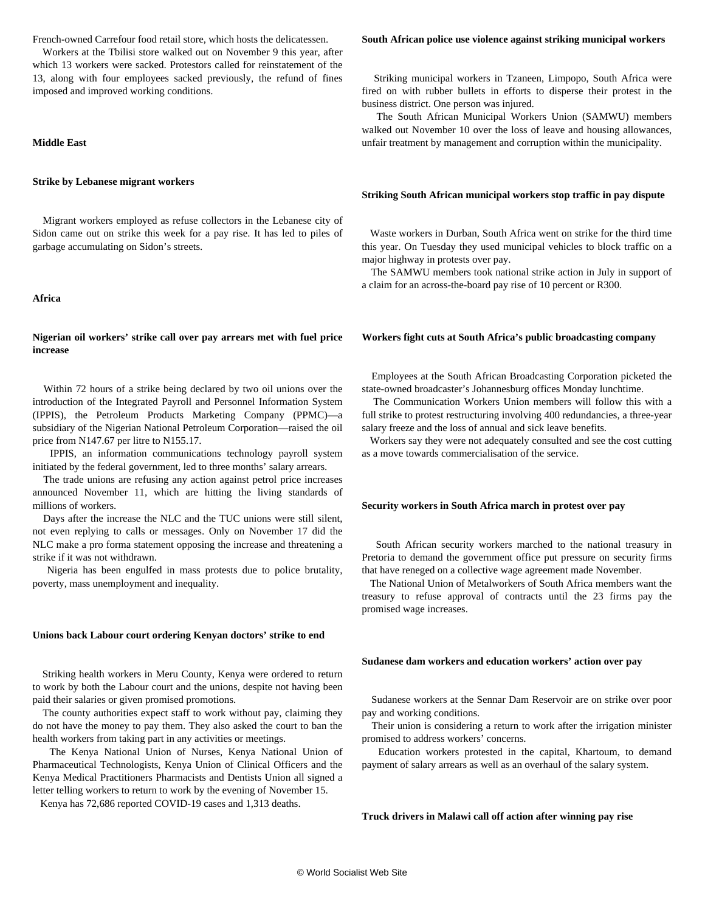French-owned Carrefour food retail store, which hosts the delicatessen.

 Workers at the Tbilisi store walked out on November 9 this year, after which 13 workers were sacked. Protestors called for reinstatement of the 13, along with four employees sacked previously, the refund of fines imposed and improved working conditions.

## **Middle East**

## **Strike by Lebanese migrant workers**

 Migrant workers employed as refuse collectors in the Lebanese city of Sidon came out on strike this week for a pay rise. It has led to piles of garbage accumulating on Sidon's streets.

## **Africa**

## **Nigerian oil workers' strike call over pay arrears met with fuel price increase**

 Within 72 hours of a strike being declared by two oil unions over the introduction of the Integrated Payroll and Personnel Information System (IPPIS), the Petroleum Products Marketing Company (PPMC)—a subsidiary of the Nigerian National Petroleum Corporation—raised the oil price from N147.67 per litre to N155.17.

 IPPIS, an information communications technology payroll system initiated by the federal government, led to three months' salary arrears.

 The trade unions are refusing any action against petrol price increases announced November 11, which are hitting the living standards of millions of workers.

 Days after the increase the NLC and the TUC unions were still silent, not even replying to calls or messages. Only on November 17 did the NLC make a pro forma statement opposing the increase and threatening a strike if it was not withdrawn.

 Nigeria has been engulfed in mass protests due to police brutality, poverty, mass unemployment and inequality.

#### **Unions back Labour court ordering Kenyan doctors' strike to end**

 Striking health workers in Meru County, Kenya were ordered to return to work by both the Labour court and the unions, despite not having been paid their salaries or given promised promotions.

 The county authorities expect staff to work without pay, claiming they do not have the money to pay them. They also asked the court to ban the health workers from taking part in any activities or meetings.

 The Kenya National Union of Nurses, Kenya National Union of Pharmaceutical Technologists, Kenya Union of Clinical Officers and the Kenya Medical Practitioners Pharmacists and Dentists Union all signed a letter telling workers to return to work by the evening of November 15.

Kenya has 72,686 reported COVID-19 cases and 1,313 deaths.

#### **South African police use violence against striking municipal workers**

 Striking municipal workers in Tzaneen, Limpopo, South Africa were fired on with rubber bullets in efforts to disperse their protest in the business district. One person was injured.

 The South African Municipal Workers Union (SAMWU) members walked out November 10 over the loss of leave and housing allowances, unfair treatment by management and corruption within the municipality.

## **Striking South African municipal workers stop traffic in pay dispute**

 Waste workers in Durban, South Africa went on strike for the third time this year. On Tuesday they used municipal vehicles to block traffic on a major highway in protests over pay.

 The SAMWU members took national strike action in July in support of a claim for an across-the-board pay rise of 10 percent or R300.

#### **Workers fight cuts at South Africa's public broadcasting company**

 Employees at the South African Broadcasting Corporation picketed the state-owned broadcaster's Johannesburg offices Monday lunchtime.

 The Communication Workers Union members will follow this with a full strike to protest restructuring involving 400 redundancies, a three-year salary freeze and the loss of annual and sick leave benefits.

 Workers say they were not adequately consulted and see the cost cutting as a move towards commercialisation of the service.

#### **Security workers in South Africa march in protest over pay**

 South African security workers marched to the national treasury in Pretoria to demand the government office put pressure on security firms that have reneged on a collective wage agreement made November.

 The National Union of Metalworkers of South Africa members want the treasury to refuse approval of contracts until the 23 firms pay the promised wage increases.

#### **Sudanese dam workers and education workers' action over pay**

 Sudanese workers at the Sennar Dam Reservoir are on strike over poor pay and working conditions.

 Their union is considering a return to work after the irrigation minister promised to address workers' concerns.

 Education workers protested in the capital, Khartoum, to demand payment of salary arrears as well as an overhaul of the salary system.

#### **Truck drivers in Malawi call off action after winning pay rise**